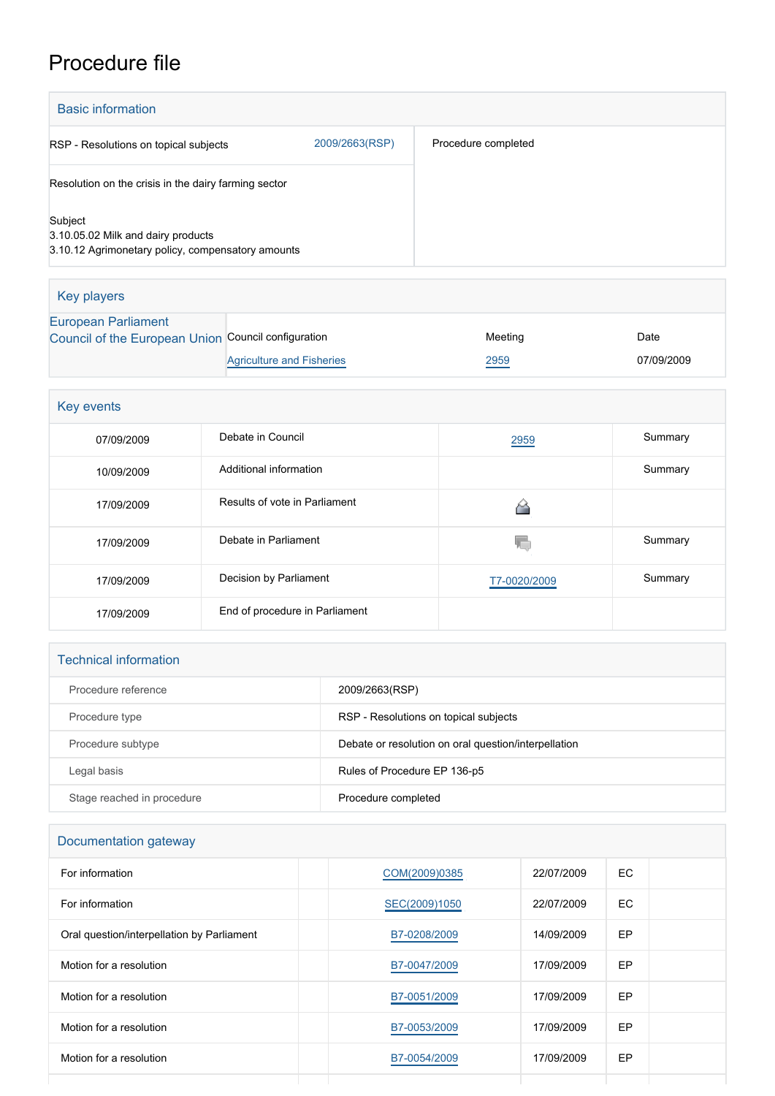# Procedure file

| <b>Basic information</b>                                                                           |                                  |                     |            |  |  |  |  |
|----------------------------------------------------------------------------------------------------|----------------------------------|---------------------|------------|--|--|--|--|
| 2009/2663(RSP)<br>RSP - Resolutions on topical subjects                                            |                                  | Procedure completed |            |  |  |  |  |
| Resolution on the crisis in the dairy farming sector                                               |                                  |                     |            |  |  |  |  |
| Subject<br>3.10.05.02 Milk and dairy products<br>3.10.12 Agrimonetary policy, compensatory amounts |                                  |                     |            |  |  |  |  |
| <b>Key players</b>                                                                                 |                                  |                     |            |  |  |  |  |
| <b>European Parliament</b><br>Council of the European Union Council configuration                  |                                  | Meeting             | Date       |  |  |  |  |
|                                                                                                    | <b>Agriculture and Fisheries</b> | 2959                | 07/09/2009 |  |  |  |  |
| Key events                                                                                         |                                  |                     |            |  |  |  |  |
| 07/09/2009                                                                                         | Debate in Council                | 2959                | Summary    |  |  |  |  |
| 10/09/2009                                                                                         | Additional information           |                     | Summary    |  |  |  |  |
| 17/09/2009                                                                                         | Results of vote in Parliament    | ≙                   |            |  |  |  |  |
| 17/09/2009                                                                                         | Debate in Parliament             | 珊                   | Summary    |  |  |  |  |
| 17/09/2009                                                                                         | Decision by Parliament           | T7-0020/2009        | Summary    |  |  |  |  |
| 17/09/2009                                                                                         | End of procedure in Parliament   |                     |            |  |  |  |  |

| <b>Technical information</b> |                                                      |
|------------------------------|------------------------------------------------------|
| Procedure reference          | 2009/2663(RSP)                                       |
| Procedure type               | RSP - Resolutions on topical subjects                |
| Procedure subtype            | Debate or resolution on oral question/interpellation |
| Legal basis                  | Rules of Procedure EP 136-p5                         |
| Stage reached in procedure   | Procedure completed                                  |

| Documentation gateway                      |               |            |     |  |  |
|--------------------------------------------|---------------|------------|-----|--|--|
| For information                            | COM(2009)0385 | 22/07/2009 | EC  |  |  |
| For information                            | SEC(2009)1050 | 22/07/2009 | EC. |  |  |
| Oral question/interpellation by Parliament | B7-0208/2009  | 14/09/2009 | EP  |  |  |
| Motion for a resolution                    | B7-0047/2009  | 17/09/2009 | EP  |  |  |
| Motion for a resolution                    | B7-0051/2009  | 17/09/2009 | EP  |  |  |
| Motion for a resolution                    | B7-0053/2009  | 17/09/2009 | EP  |  |  |
| Motion for a resolution                    | B7-0054/2009  | 17/09/2009 | EP  |  |  |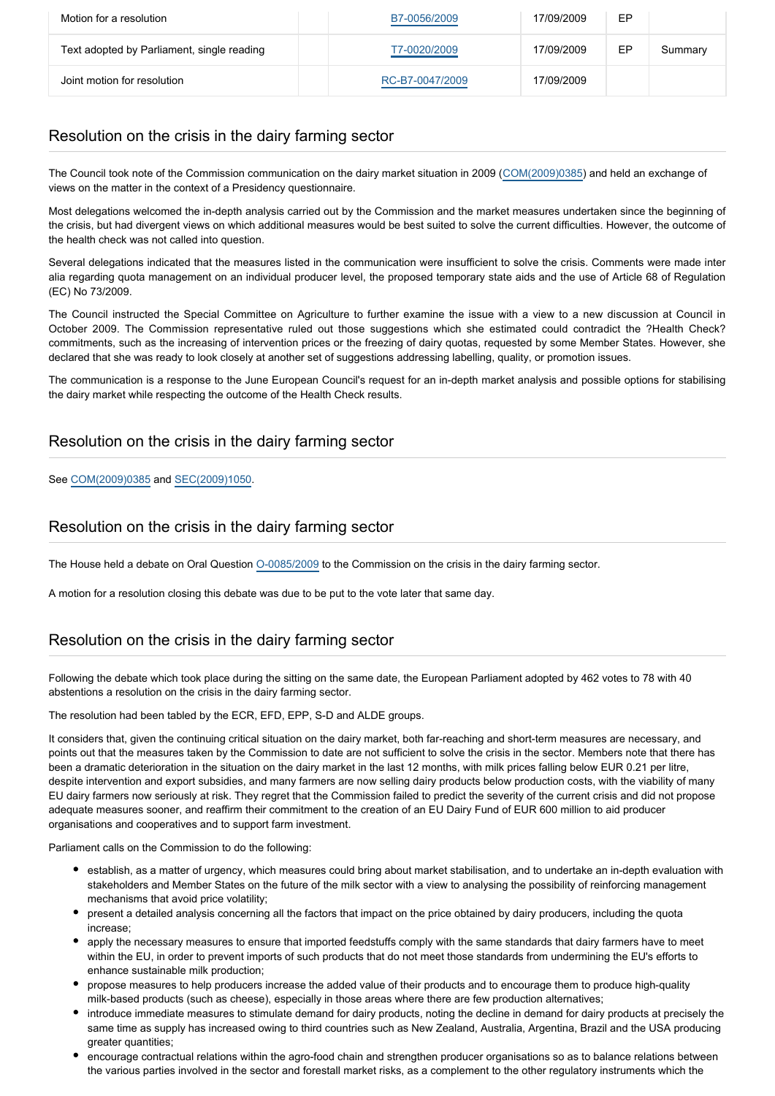| Motion for a resolution                    | B7-0056/2009    | 17/09/2009 | EP |         |
|--------------------------------------------|-----------------|------------|----|---------|
| Text adopted by Parliament, single reading | T7-0020/2009    | 17/09/2009 | EP | Summary |
| Joint motion for resolution                | RC-B7-0047/2009 | 17/09/2009 |    |         |

## Resolution on the crisis in the dairy farming sector

The Council took note of the Commission communication on the dairy market situation in 2009 [\(COM\(2009\)0385\)](http://www.europarl.europa.eu/oeil/FindByDocnum.do?lang=en&docnum=COM/2009/0385) and held an exchange of views on the matter in the context of a Presidency questionnaire.

Most delegations welcomed the in-depth analysis carried out by the Commission and the market measures undertaken since the beginning of the crisis, but had divergent views on which additional measures would be best suited to solve the current difficulties. However, the outcome of the health check was not called into question.

Several delegations indicated that the measures listed in the communication were insufficient to solve the crisis. Comments were made inter alia regarding quota management on an individual producer level, the proposed temporary state aids and the use of Article 68 of Regulation (EC) No 73/2009.

The Council instructed the Special Committee on Agriculture to further examine the issue with a view to a new discussion at Council in October 2009. The Commission representative ruled out those suggestions which she estimated could contradict the ?Health Check? commitments, such as the increasing of intervention prices or the freezing of dairy quotas, requested by some Member States. However, she declared that she was ready to look closely at another set of suggestions addressing labelling, quality, or promotion issues.

The communication is a response to the June European Council's request for an in-depth market analysis and possible options for stabilising the dairy market while respecting the outcome of the Health Check results.

## Resolution on the crisis in the dairy farming sector

#### See [COM\(2009\)0385](http://eur-lex.europa.eu/LexUriServ/LexUriServ.do?uri=COM:2009:0385:FIN:EN:PDF) and [SEC\(2009\)1050](http://www.europarl.europa.eu/oeil/file.jsp?id=9788183¬iceType=null&language=en).

## Resolution on the crisis in the dairy farming sector

The House held a debate on Oral Question [O-0085/2009](http://www.europarl.europa.eu/sides/getDoc.do?pubRef=-//EP//TEXT+OQ+O-2009-0085+0+DOC+XML+V0//EN&language=EN) to the Commission on the crisis in the dairy farming sector.

A motion for a resolution closing this debate was due to be put to the vote later that same day.

# Resolution on the crisis in the dairy farming sector

Following the debate which took place during the sitting on the same date, the European Parliament adopted by 462 votes to 78 with 40 abstentions a resolution on the crisis in the dairy farming sector.

The resolution had been tabled by the ECR, EFD, EPP, S-D and ALDE groups.

It considers that, given the continuing critical situation on the dairy market, both far-reaching and short-term measures are necessary, and points out that the measures taken by the Commission to date are not sufficient to solve the crisis in the sector. Members note that there has been a dramatic deterioration in the situation on the dairy market in the last 12 months, with milk prices falling below EUR 0.21 per litre, despite intervention and export subsidies, and many farmers are now selling dairy products below production costs, with the viability of many EU dairy farmers now seriously at risk. They regret that the Commission failed to predict the severity of the current crisis and did not propose adequate measures sooner, and reaffirm their commitment to the creation of an EU Dairy Fund of EUR 600 million to aid producer organisations and cooperatives and to support farm investment.

Parliament calls on the Commission to do the following:

- establish, as a matter of urgency, which measures could bring about market stabilisation, and to undertake an in-depth evaluation with stakeholders and Member States on the future of the milk sector with a view to analysing the possibility of reinforcing management mechanisms that avoid price volatility;
- present a detailed analysis concerning all the factors that impact on the price obtained by dairy producers, including the quota increase;
- apply the necessary measures to ensure that imported feedstuffs comply with the same standards that dairy farmers have to meet within the EU, in order to prevent imports of such products that do not meet those standards from undermining the EU's efforts to enhance sustainable milk production;
- propose measures to help producers increase the added value of their products and to encourage them to produce high-quality milk-based products (such as cheese), especially in those areas where there are few production alternatives;
- introduce immediate measures to stimulate demand for dairy products, noting the decline in demand for dairy products at precisely the same time as supply has increased owing to third countries such as New Zealand, Australia, Argentina, Brazil and the USA producing greater quantities:
- encourage contractual relations within the agro-food chain and strengthen producer organisations so as to balance relations between the various parties involved in the sector and forestall market risks, as a complement to the other regulatory instruments which the